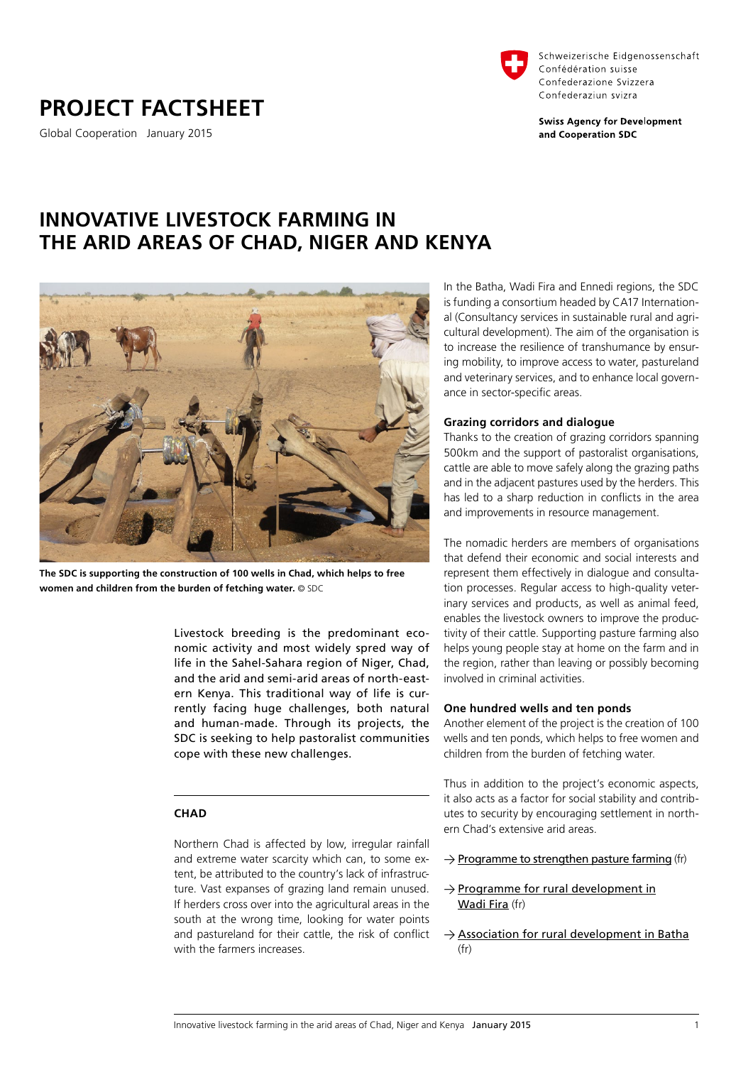**PROJECT FACTSHEET**

Global Cooperation January 2015



Schweizerische Eidgenossenschaft Confédération suisse Confederazione Svizzera Confederaziun svizra

**Swiss Agency for Development** and Cooperation SDC

# **INNOVATIVE LIVESTOCK FARMING IN THE ARID AREAS OF CHAD, NIGER AND KENYA**



**The SDC is supporting the construction of 100 wells in Chad, which helps to free women and children from the burden of fetching water.** © SDC

Livestock breeding is the predominant economic activity and most widely spred way of life in the Sahel-Sahara region of Niger, Chad, and the arid and semi-arid areas of north-eastern Kenya. This traditional way of life is currently facing huge challenges, both natural and human-made. Through its projects, the SDC is seeking to help pastoralist communities cope with these new challenges.

# **CHAD**

Northern Chad is affected by low, irregular rainfall and extreme water scarcity which can, to some extent, be attributed to the country's lack of infrastructure. Vast expanses of grazing land remain unused. If herders cross over into the agricultural areas in the south at the wrong time, looking for water points and pastureland for their cattle, the risk of conflict with the farmers increases.

In the Batha, Wadi Fira and Ennedi regions, the SDC is funding a consortium headed by CA17 International (Consultancy services in sustainable rural and agricultural development). The aim of the organisation is to increase the resilience of transhumance by ensuring mobility, to improve access to water, pastureland and veterinary services, and to enhance local governance in sector-specific areas.

# **Grazing corridors and dialogue**

Thanks to the creation of grazing corridors spanning 500km and the support of pastoralist organisations, cattle are able to move safely along the grazing paths and in the adjacent pastures used by the herders. This has led to a sharp reduction in conflicts in the area and improvements in resource management.

The nomadic herders are members of organisations that defend their economic and social interests and represent them effectively in dialogue and consultation processes. Regular access to high-quality veterinary services and products, as well as animal feed, enables the livestock owners to improve the productivity of their cattle. Supporting pasture farming also helps young people stay at home on the farm and in the region, rather than leaving or possibly becoming involved in criminal activities.

### **One hundred wells and ten ponds**

Another element of the project is the creation of 100 wells and ten ponds, which helps to free women and children from the burden of fetching water.

Thus in addition to the project's economic aspects, it also acts as a factor for social stability and contributes to security by encouraging settlement in northern Chad's extensive arid areas.

- $\rightarrow$  [Programme to strengthen pasture farming](https://www.eda.admin.ch/deza/en/home/aktivitaeten_projekte/projekte.html/projects/SDC/en/2013/7F08692/phase1) (fr)
- $\rightarrow$  [Programme for rural development in](https://www.eda.admin.ch/deza/en/home/aktivitaeten_projekte/projekte.html/projects/SDC/en/1999/7F00455/phase5) [Wadi Fira](https://www.eda.admin.ch/deza/en/home/aktivitaeten_projekte/projekte.html/projects/SDC/en/1999/7F00455/phase5) (fr)
- $\rightarrow$  [Association for rural development in Batha](https://www.eda.admin.ch/deza/en/home/aktivitaeten_projekte/projekte.html/projects/SDC/en/1999/7F00457/phase7) (fr)